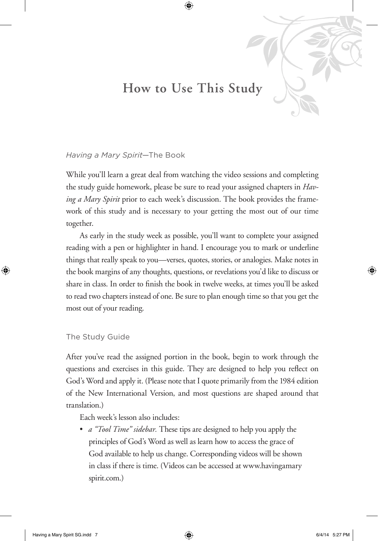## **How to Use This Study**

#### *Having a Mary Spirit*—The Book

While you'll learn a great deal from watching the video sessions and completing the study guide homework, please be sure to read your assigned chapters in *Having a Mary Spirit* prior to each week's discussion. The book provides the framework of this study and is necessary to your getting the most out of our time together.

As early in the study week as possible, you'll want to complete your assigned reading with a pen or highlighter in hand. I encourage you to mark or underline things that really speak to you—verses, quotes, stories, or analogies. Make notes in the book margins of any thoughts, questions, or revelations you'd like to discuss or share in class. In order to finish the book in twelve weeks, at times you'll be asked to read two chapters instead of one. Be sure to plan enough time so that you get the most out of your reading.

#### The Study Guide

After you've read the assigned portion in the book, begin to work through the questions and exercises in this guide. They are designed to help you reflect on God's Word and apply it. (Please note that I quote primarily from the 1984 edition of the New International Version, and most questions are shaped around that translation.)

Each week's lesson also includes:

• *a "Tool Time" sidebar*. These tips are designed to help you apply the principles of God's Word as well as learn how to access the grace of God available to help us change. Corresponding videos will be shown in class if there is time. (Videos can be accessed at www.havingamary spirit.com.)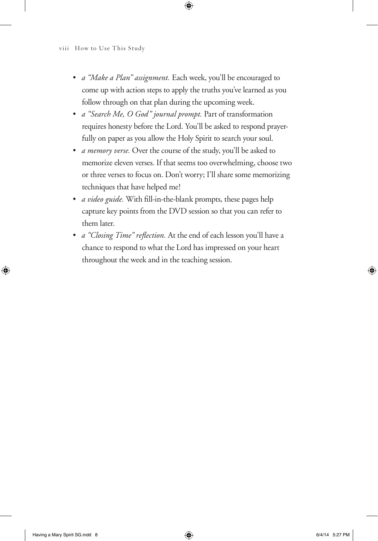- • *a "Make a Plan" assignment.* Each week, you'll be encouraged to come up with action steps to apply the truths you've learned as you follow through on that plan during the upcoming week.
- • *a "Search Me, O God" journal prompt.* Part of transformation requires honesty before the Lord. You'll be asked to respond prayerfully on paper as you allow the Holy Spirit to search your soul.
- • *a memory verse.* Over the course of the study, you'll be asked to memorize eleven verses. If that seems too overwhelming, choose two or three verses to focus on. Don't worry; I'll share some memorizing techniques that have helped me!
- *a video guide*. With fill-in-the-blank prompts, these pages help capture key points from the DVD session so that you can refer to them later.
- • *a "Closing Time" reflection.* At the end of each lesson you'll have a chance to respond to what the Lord has impressed on your heart throughout the week and in the teaching session.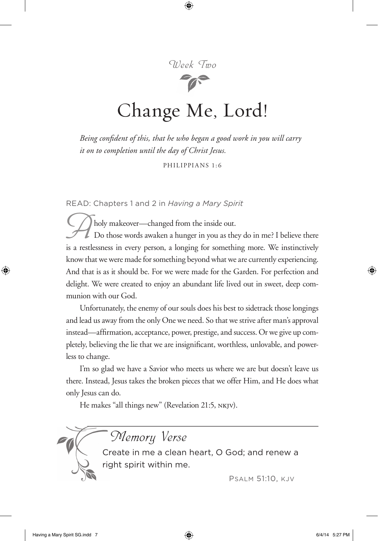

# Change Me, Lord!

*Being confident of this, that he who began a good work in you will carry it on to completion until the day of Christ Jesus.* 

Philippians 1:6

READ: Chapters 1 and 2 in *Having a Mary Spirit*

 $\sum$  holy makeover—changed from the inside out. Do those words awaken a hunger in you as they do in me? I believe there is a restlessness in every person, a longing for something more. We instinctively know that we were made for something beyond what we are currently experiencing. And that is as it should be. For we were made for the Garden. For perfection and delight. We were created to enjoy an abundant life lived out in sweet, deep communion with our God.

Unfortunately, the enemy of our souls does his best to sidetrack those longings and lead us away from the only One we need. So that we strive after man's approval instead—affirmation, acceptance, power, prestige, and success. Or we give up completely, believing the lie that we are insignificant, worthless, unlovable, and powerless to change.

I'm so glad we have a Savior who meets us where we are but doesn't leave us there. Instead, Jesus takes the broken pieces that we offer Him, and He does what only Jesus can do.

He makes "all things new" (Revelation 21:5, nkjv).



Memory Verse

Create in me a clean heart, O God; and renew a right spirit within me.

Psalm 51:10, kjv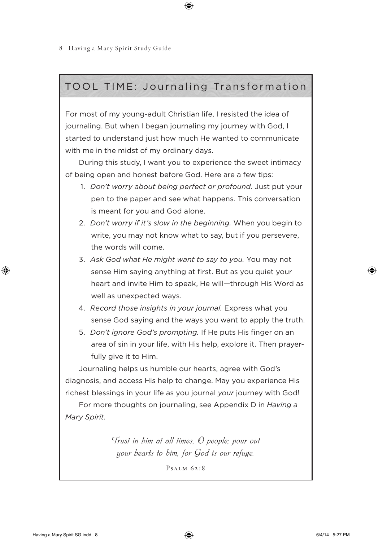### TOOL TIME: Journaling Transformation

For most of my young-adult Christian life, I resisted the idea of journaling. But when I began journaling my journey with God, I started to understand just how much He wanted to communicate with me in the midst of my ordinary days.

During this study, I want you to experience the sweet intimacy of being open and honest before God. Here are a few tips:

- 1. *Don't worry about being perfect or profound.* Just put your pen to the paper and see what happens. This conversation is meant for you and God alone.
- 2. *Don't worry if it's slow in the beginning.* When you begin to write, you may not know what to say, but if you persevere, the words will come.
- 3. *Ask God what He might want to say to you.* You may not sense Him saying anything at first. But as you quiet your heart and invite Him to speak, He will—through His Word as well as unexpected ways.
- 4. *Record those insights in your journal.* Express what you sense God saying and the ways you want to apply the truth.
- 5. *Don't ignore God's prompting.* If He puts His finger on an area of sin in your life, with His help, explore it. Then prayerfully give it to Him.

Journaling helps us humble our hearts, agree with God's diagnosis, and access His help to change. May you experience His richest blessings in your life as you journal *your* journey with God!

For more thoughts on journaling, see Appendix D in *Having a Mary Spirit.*

> Trust in him at all times, O people; pour out your hearts to him, for God is our refuge.

> > Psalm 62:8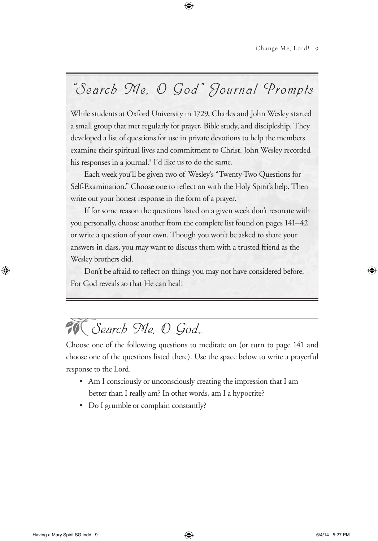## "Search Me, O God" Journal Prompts

While students at Oxford University in 1729, Charles and John Wesley started a small group that met regularly for prayer, Bible study, and discipleship. They developed a list of questions for use in private devotions to help the members examine their spiritual lives and commitment to Christ. John Wesley recorded his responses in a journal.<sup>3</sup> I'd like us to do the same.

Each week you'll be given two of Wesley's "Twenty-Two Questions for Self-Examination." Choose one to reflect on with the Holy Spirit's help. Then write out your honest response in the form of a prayer.

If for some reason the questions listed on a given week don't resonate with you personally, choose another from the complete list found on pages 141–42 or write a question of your own. Though you won't be asked to share your answers in class, you may want to discuss them with a trusted friend as the Wesley brothers did.

Don't be afraid to reflect on things you may not have considered before. For God reveals so that He can heal!

## $\widetilde{\mathcal{W}}$  Search Me, O God...

Choose one of the following questions to meditate on (or turn to page 141 and choose one of the questions listed there). Use the space below to write a prayerful response to the Lord.

- Am I consciously or unconsciously creating the impression that I am better than I really am? In other words, am I a hypocrite?
- Do I grumble or complain constantly?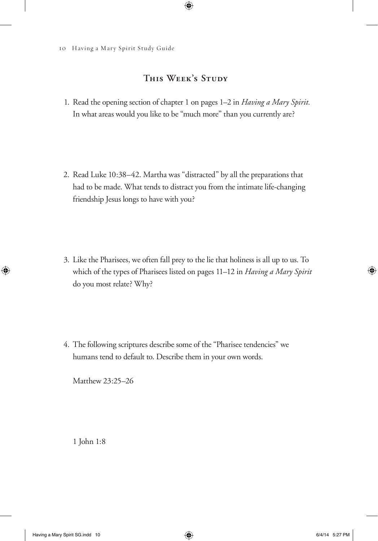#### **This Week's Study**

1. Read the opening section of chapter 1 on pages 1–2 in *Having a Mary Spirit.* In what areas would you like to be "much more" than you currently are?

2. Read Luke 10:38–42. Martha was "distracted" by all the preparations that had to be made. What tends to distract you from the intimate life-changing friendship Jesus longs to have with you?

3. Like the Pharisees, we often fall prey to the lie that holiness is all up to us. To which of the types of Pharisees listed on pages 11–12 in *Having a Mary Spirit*  do you most relate? Why?

4. The following scriptures describe some of the "Pharisee tendencies" we humans tend to default to. Describe them in your own words.

Matthew 23:25–26

1 John 1:8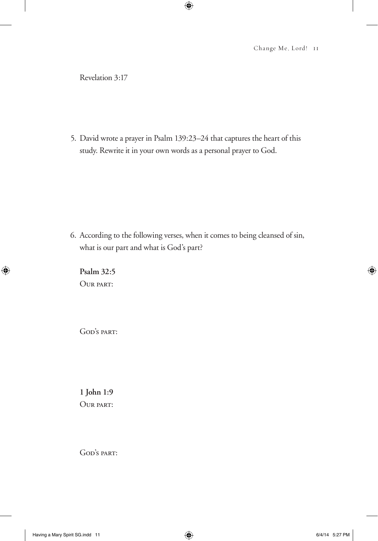Revelation 3:17

5. David wrote a prayer in Psalm 139:23–24 that captures the heart of this study. Rewrite it in your own words as a personal prayer to God.

6. According to the following verses, when it comes to being cleansed of sin, what is our part and what is God's part?

**Psalm 32:5** Our part:

GOD'S PART:

**1 John 1:9** OUR PART:

GOD'S PART: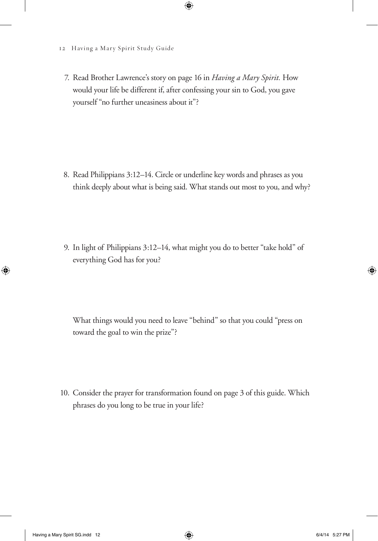#### 12 Having a Mary Spirit Study Guide

7. Read Brother Lawrence's story on page 16 in *Having a Mary Spirit.* How would your life be different if, after confessing your sin to God, you gave yourself "no further uneasiness about it"?

8. Read Philippians 3:12–14. Circle or underline key words and phrases as you think deeply about what is being said. What stands out most to you, and why?

9. In light of Philippians 3:12–14, what might you do to better "take hold" of everything God has for you?

 What things would you need to leave "behind" so that you could "press on toward the goal to win the prize"?

10. Consider the prayer for transformation found on page 3 of this guide. Which phrases do you long to be true in your life?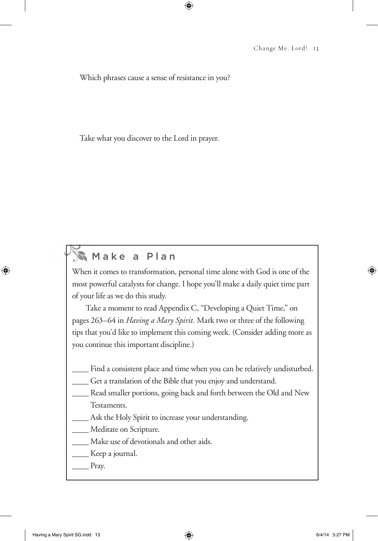Which phrases cause a sense of resistance in you?

Take what you discover to the Lord in prayer.

### **Make a Plan**

When it comes to transformation, personal time alone with God is one of the most powerful catalysts for change. I hope you'll make a daily quiet time part of your life as we do this study.

Take a moment to read Appendix C, "Developing a Quiet Time," on pages 263–64 in *Having a Mary Spirit.* Mark two or three of the following tips that you'd like to implement this coming week. (Consider adding more as you continue this important discipline.)

- Find a consistent place and time when you can be relatively undisturbed.
- Get a translation of the Bible that you enjoy and understand.
- Read smaller portions, going back and forth between the Old and New Testaments.
- Ask the Holy Spirit to increase your understanding.

Meditate on Scripture.

- Make use of devotionals and other aids.
- \_\_\_\_ Keep a journal.
- $_\text{p}$  Pray.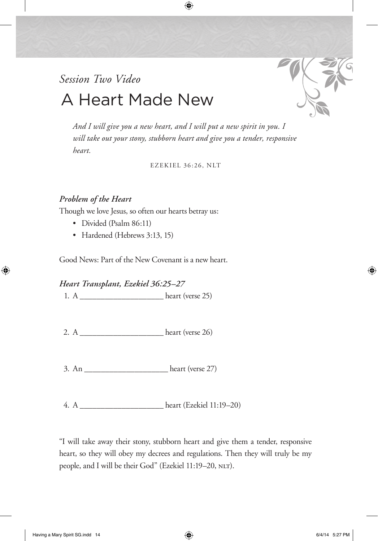## *Session Two Video*  A Heart Made New



*And I will give you a new heart, and I will put a new spirit in you. I will take out your stony, stubborn heart and give you a tender, responsive heart.*

Ezekiel 36:26, nlt

#### *Problem of the Heart*

Though we love Jesus, so often our hearts betray us:

- Divided (Psalm 86:11)
- Hardened (Hebrews 3:13, 15)

Good News: Part of the New Covenant is a new heart.

*Heart Transplant, Ezekiel 36:25–27*

1.  $A$   $heart (verse 25)$ 

- 2. A \_\_\_\_\_\_\_\_\_\_\_\_\_\_\_\_\_\_\_\_ heart (verse 26)
- $3. An$   $hear (verse 27)$

4. A \_\_\_\_\_\_\_\_\_\_\_\_\_\_\_\_\_\_\_\_ heart (Ezekiel 11:19–20)

"I will take away their stony, stubborn heart and give them a tender, responsive heart, so they will obey my decrees and regulations. Then they will truly be my people, and I will be their God" (Ezekiel 11:19-20, NLT).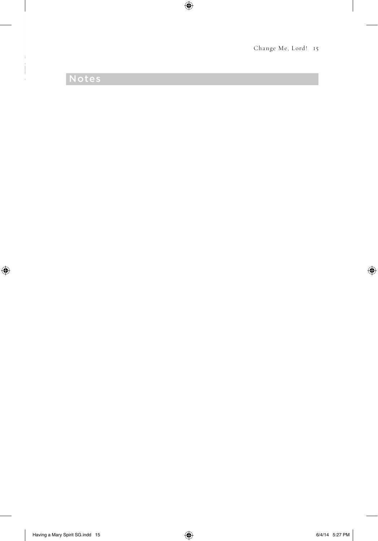## Notes